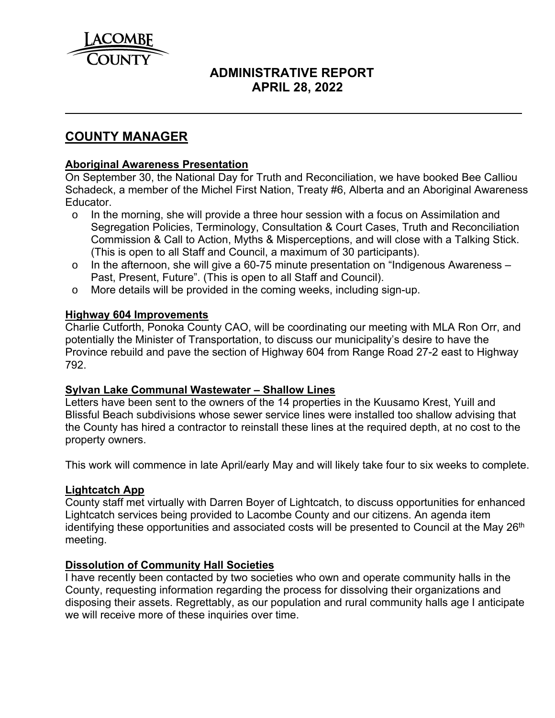

# **ADMINISTRATIVE REPORT APRIL 28, 2022**

## **COUNTY MANAGER**

## **Aboriginal Awareness Presentation**

On September 30, the National Day for Truth and Reconciliation, we have booked Bee Calliou Schadeck, a member of the Michel First Nation, Treaty #6, Alberta and an Aboriginal Awareness Educator.

- o In the morning, she will provide a three hour session with a focus on Assimilation and Segregation Policies, Terminology, Consultation & Court Cases, Truth and Reconciliation Commission & Call to Action, Myths & Misperceptions, and will close with a Talking Stick. (This is open to all Staff and Council, a maximum of 30 participants).
- o In the afternoon, she will give a 60-75 minute presentation on "Indigenous Awareness Past, Present, Future". (This is open to all Staff and Council).
- o More details will be provided in the coming weeks, including sign-up.

## **Highway 604 Improvements**

Charlie Cutforth, Ponoka County CAO, will be coordinating our meeting with MLA Ron Orr, and potentially the Minister of Transportation, to discuss our municipality's desire to have the Province rebuild and pave the section of Highway 604 from Range Road 27-2 east to Highway 792.

## **Sylvan Lake Communal Wastewater – Shallow Lines**

Letters have been sent to the owners of the 14 properties in the Kuusamo Krest, Yuill and Blissful Beach subdivisions whose sewer service lines were installed too shallow advising that the County has hired a contractor to reinstall these lines at the required depth, at no cost to the property owners.

This work will commence in late April/early May and will likely take four to six weeks to complete.

## **Lightcatch App**

County staff met virtually with Darren Boyer of Lightcatch, to discuss opportunities for enhanced Lightcatch services being provided to Lacombe County and our citizens. An agenda item identifying these opportunities and associated costs will be presented to Council at the May 26<sup>th</sup> meeting.

## **Dissolution of Community Hall Societies**

I have recently been contacted by two societies who own and operate community halls in the County, requesting information regarding the process for dissolving their organizations and disposing their assets. Regrettably, as our population and rural community halls age I anticipate we will receive more of these inquiries over time.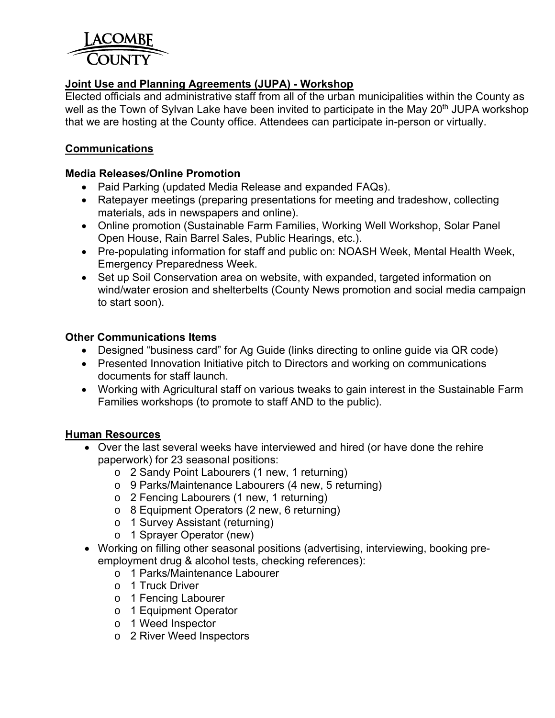

## **Joint Use and Planning Agreements (JUPA) - Workshop**

Elected officials and administrative staff from all of the urban municipalities within the County as well as the Town of Sylvan Lake have been invited to participate in the May 20<sup>th</sup> JUPA workshop that we are hosting at the County office. Attendees can participate in-person or virtually.

## **Communications**

#### **Media Releases/Online Promotion**

- Paid Parking (updated Media Release and expanded FAQs).
- Ratepayer meetings (preparing presentations for meeting and tradeshow, collecting materials, ads in newspapers and online).
- Online promotion (Sustainable Farm Families, Working Well Workshop, Solar Panel Open House, Rain Barrel Sales, Public Hearings, etc.).
- Pre-populating information for staff and public on: NOASH Week, Mental Health Week, Emergency Preparedness Week.
- Set up Soil Conservation area on website, with expanded, targeted information on wind/water erosion and shelterbelts (County News promotion and social media campaign to start soon).

## **Other Communications Items**

- Designed "business card" for Ag Guide (links directing to online guide via QR code)
- Presented Innovation Initiative pitch to Directors and working on communications documents for staff launch.
- Working with Agricultural staff on various tweaks to gain interest in the Sustainable Farm Families workshops (to promote to staff AND to the public).

## **Human Resources**

- Over the last several weeks have interviewed and hired (or have done the rehire paperwork) for 23 seasonal positions:
	- o 2 Sandy Point Labourers (1 new, 1 returning)
	- o 9 Parks/Maintenance Labourers (4 new, 5 returning)
	- o 2 Fencing Labourers (1 new, 1 returning)
	- o 8 Equipment Operators (2 new, 6 returning)
	- o 1 Survey Assistant (returning)
	- o 1 Sprayer Operator (new)
- Working on filling other seasonal positions (advertising, interviewing, booking preemployment drug & alcohol tests, checking references):
	- o 1 Parks/Maintenance Labourer
	- o 1 Truck Driver
	- o 1 Fencing Labourer
	- o 1 Equipment Operator
	- o 1 Weed Inspector
	- o 2 River Weed Inspectors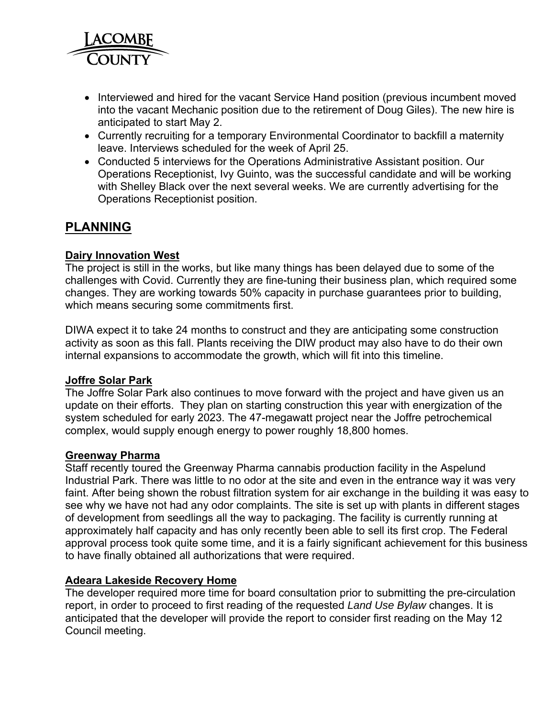

- Interviewed and hired for the vacant Service Hand position (previous incumbent moved into the vacant Mechanic position due to the retirement of Doug Giles). The new hire is anticipated to start May 2.
- Currently recruiting for a temporary Environmental Coordinator to backfill a maternity leave. Interviews scheduled for the week of April 25.
- Conducted 5 interviews for the Operations Administrative Assistant position. Our Operations Receptionist, Ivy Guinto, was the successful candidate and will be working with Shelley Black over the next several weeks. We are currently advertising for the Operations Receptionist position.

# **PLANNING**

## **Dairy Innovation West**

The project is still in the works, but like many things has been delayed due to some of the challenges with Covid. Currently they are fine-tuning their business plan, which required some changes. They are working towards 50% capacity in purchase guarantees prior to building, which means securing some commitments first.

DIWA expect it to take 24 months to construct and they are anticipating some construction activity as soon as this fall. Plants receiving the DIW product may also have to do their own internal expansions to accommodate the growth, which will fit into this timeline.

## **Joffre Solar Park**

The Joffre Solar Park also continues to move forward with the project and have given us an update on their efforts. They plan on starting construction this year with energization of the system scheduled for early 2023. The 47-megawatt project near the Joffre petrochemical complex, would supply enough energy to power roughly 18,800 homes.

## **Greenway Pharma**

Staff recently toured the Greenway Pharma cannabis production facility in the Aspelund Industrial Park. There was little to no odor at the site and even in the entrance way it was very faint. After being shown the robust filtration system for air exchange in the building it was easy to see why we have not had any odor complaints. The site is set up with plants in different stages of development from seedlings all the way to packaging. The facility is currently running at approximately half capacity and has only recently been able to sell its first crop. The Federal approval process took quite some time, and it is a fairly significant achievement for this business to have finally obtained all authorizations that were required.

## **Adeara Lakeside Recovery Home**

The developer required more time for board consultation prior to submitting the pre-circulation report, in order to proceed to first reading of the requested *Land Use Bylaw* changes. It is anticipated that the developer will provide the report to consider first reading on the May 12 Council meeting.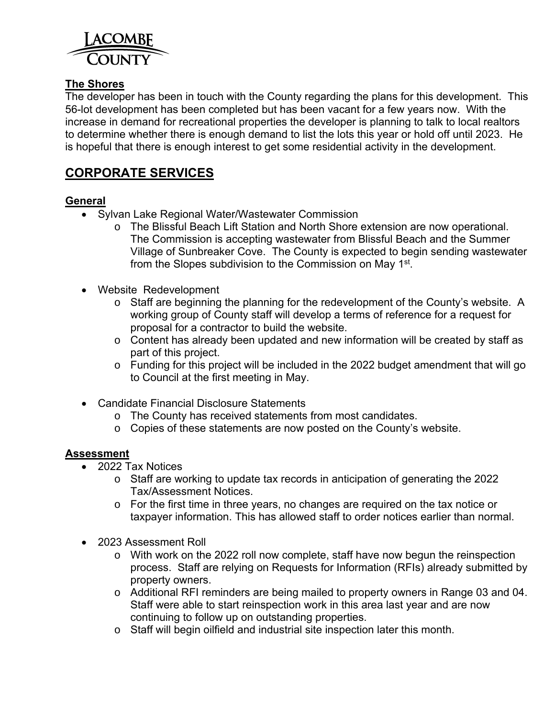

## **The Shores**

The developer has been in touch with the County regarding the plans for this development. This 56-lot development has been completed but has been vacant for a few years now. With the increase in demand for recreational properties the developer is planning to talk to local realtors to determine whether there is enough demand to list the lots this year or hold off until 2023. He is hopeful that there is enough interest to get some residential activity in the development.

# **CORPORATE SERVICES**

## **General**

- Sylvan Lake Regional Water/Wastewater Commission
	- o The Blissful Beach Lift Station and North Shore extension are now operational. The Commission is accepting wastewater from Blissful Beach and the Summer Village of Sunbreaker Cove. The County is expected to begin sending wastewater from the Slopes subdivision to the Commission on May 1st.
- Website Redevelopment
	- o Staff are beginning the planning for the redevelopment of the County's website. A working group of County staff will develop a terms of reference for a request for proposal for a contractor to build the website.
	- o Content has already been updated and new information will be created by staff as part of this project.
	- o Funding for this project will be included in the 2022 budget amendment that will go to Council at the first meeting in May.
- Candidate Financial Disclosure Statements
	- o The County has received statements from most candidates.
	- o Copies of these statements are now posted on the County's website.

## **Assessment**

- 2022 Tax Notices
	- o Staff are working to update tax records in anticipation of generating the 2022 Tax/Assessment Notices.
	- o For the first time in three years, no changes are required on the tax notice or taxpayer information. This has allowed staff to order notices earlier than normal.
- 2023 Assessment Roll
	- o With work on the 2022 roll now complete, staff have now begun the reinspection process. Staff are relying on Requests for Information (RFIs) already submitted by property owners.
	- o Additional RFI reminders are being mailed to property owners in Range 03 and 04. Staff were able to start reinspection work in this area last year and are now continuing to follow up on outstanding properties.
	- o Staff will begin oilfield and industrial site inspection later this month.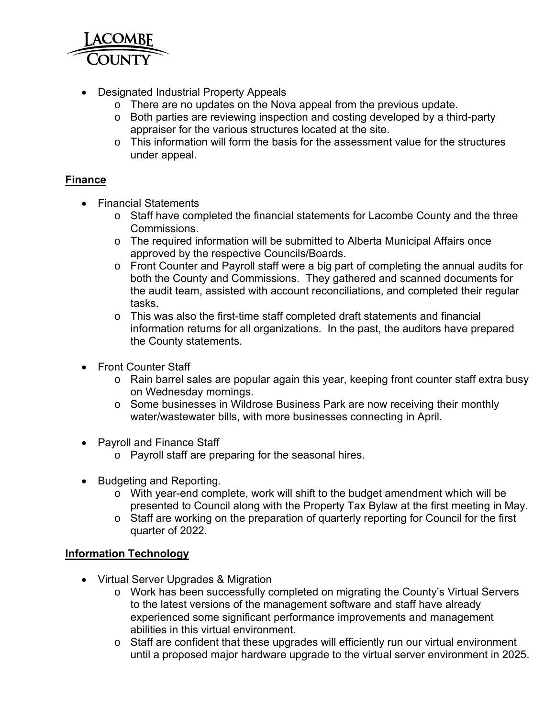

- Designated Industrial Property Appeals
	- o There are no updates on the Nova appeal from the previous update.
	- o Both parties are reviewing inspection and costing developed by a third-party appraiser for the various structures located at the site.
	- $\circ$  This information will form the basis for the assessment value for the structures under appeal.

## **Finance**

- Financial Statements
	- o Staff have completed the financial statements for Lacombe County and the three Commissions.
	- o The required information will be submitted to Alberta Municipal Affairs once approved by the respective Councils/Boards.
	- o Front Counter and Payroll staff were a big part of completing the annual audits for both the County and Commissions. They gathered and scanned documents for the audit team, assisted with account reconciliations, and completed their regular tasks.
	- $\circ$  This was also the first-time staff completed draft statements and financial information returns for all organizations. In the past, the auditors have prepared the County statements.
- Front Counter Staff
	- o Rain barrel sales are popular again this year, keeping front counter staff extra busy on Wednesday mornings.
	- o Some businesses in Wildrose Business Park are now receiving their monthly water/wastewater bills, with more businesses connecting in April.
- Payroll and Finance Staff
	- o Payroll staff are preparing for the seasonal hires.
- Budgeting and Reporting*.* 
	- o With year-end complete, work will shift to the budget amendment which will be presented to Council along with the Property Tax Bylaw at the first meeting in May.
	- o Staff are working on the preparation of quarterly reporting for Council for the first quarter of 2022.

## **Information Technology**

- Virtual Server Upgrades & Migration
	- o Work has been successfully completed on migrating the County's Virtual Servers to the latest versions of the management software and staff have already experienced some significant performance improvements and management abilities in this virtual environment.
	- o Staff are confident that these upgrades will efficiently run our virtual environment until a proposed major hardware upgrade to the virtual server environment in 2025.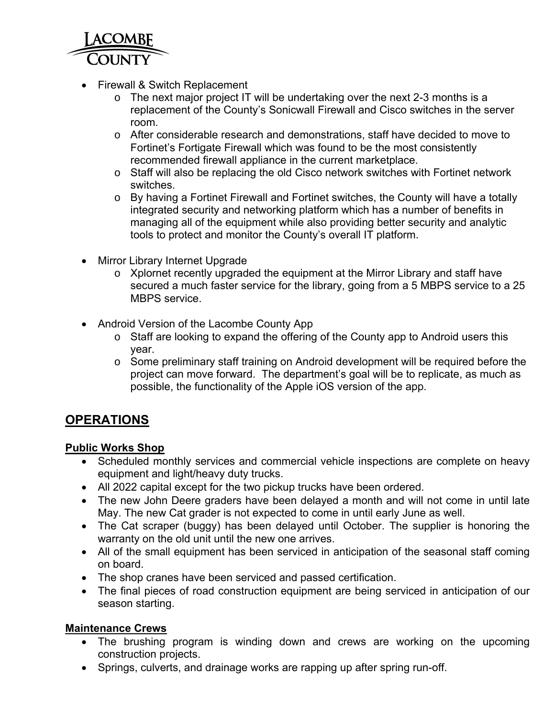

- Firewall & Switch Replacement
	- o The next major project IT will be undertaking over the next 2-3 months is a replacement of the County's Sonicwall Firewall and Cisco switches in the server room.
	- o After considerable research and demonstrations, staff have decided to move to Fortinet's Fortigate Firewall which was found to be the most consistently recommended firewall appliance in the current marketplace.
	- o Staff will also be replacing the old Cisco network switches with Fortinet network switches.
	- o By having a Fortinet Firewall and Fortinet switches, the County will have a totally integrated security and networking platform which has a number of benefits in managing all of the equipment while also providing better security and analytic tools to protect and monitor the County's overall IT platform.
- Mirror Library Internet Upgrade
	- o Xplornet recently upgraded the equipment at the Mirror Library and staff have secured a much faster service for the library, going from a 5 MBPS service to a 25 MBPS service.
- Android Version of the Lacombe County App
	- o Staff are looking to expand the offering of the County app to Android users this year.
	- o Some preliminary staff training on Android development will be required before the project can move forward. The department's goal will be to replicate, as much as possible, the functionality of the Apple iOS version of the app.

# **OPERATIONS**

## **Public Works Shop**

- Scheduled monthly services and commercial vehicle inspections are complete on heavy equipment and light/heavy duty trucks.
- All 2022 capital except for the two pickup trucks have been ordered.
- The new John Deere graders have been delayed a month and will not come in until late May. The new Cat grader is not expected to come in until early June as well.
- The Cat scraper (buggy) has been delayed until October. The supplier is honoring the warranty on the old unit until the new one arrives.
- All of the small equipment has been serviced in anticipation of the seasonal staff coming on board.
- The shop cranes have been serviced and passed certification.
- The final pieces of road construction equipment are being serviced in anticipation of our season starting.

## **Maintenance Crews**

- The brushing program is winding down and crews are working on the upcoming construction projects.
- Springs, culverts, and drainage works are rapping up after spring run-off.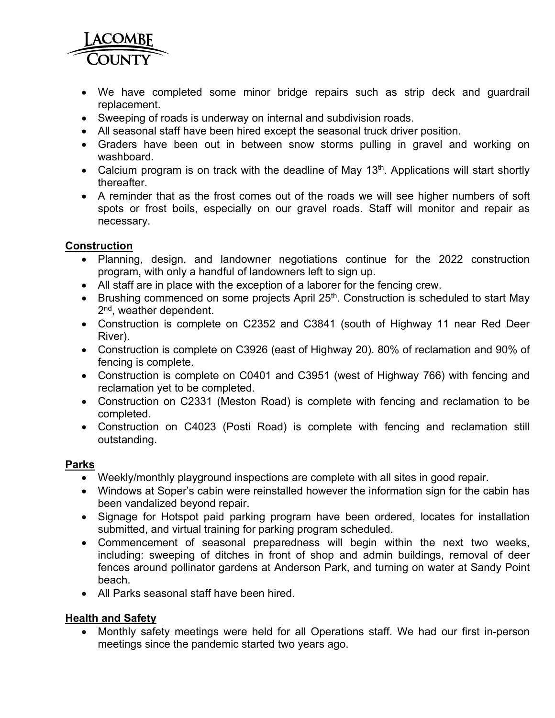

- We have completed some minor bridge repairs such as strip deck and guardrail replacement.
- Sweeping of roads is underway on internal and subdivision roads.
- All seasonal staff have been hired except the seasonal truck driver position.
- Graders have been out in between snow storms pulling in gravel and working on washboard.
- Calcium program is on track with the deadline of May 13<sup>th</sup>. Applications will start shortly thereafter.
- A reminder that as the frost comes out of the roads we will see higher numbers of soft spots or frost boils, especially on our gravel roads. Staff will monitor and repair as necessary.

## **Construction**

- Planning, design, and landowner negotiations continue for the 2022 construction program, with only a handful of landowners left to sign up.
- All staff are in place with the exception of a laborer for the fencing crew.
- **Brushing commenced on some projects April 25<sup>th</sup>. Construction is scheduled to start May** 2<sup>nd</sup>, weather dependent.
- Construction is complete on C2352 and C3841 (south of Highway 11 near Red Deer River).
- Construction is complete on C3926 (east of Highway 20). 80% of reclamation and 90% of fencing is complete.
- Construction is complete on C0401 and C3951 (west of Highway 766) with fencing and reclamation yet to be completed.
- Construction on C2331 (Meston Road) is complete with fencing and reclamation to be completed.
- Construction on C4023 (Posti Road) is complete with fencing and reclamation still outstanding.

## **Parks**

- Weekly/monthly playground inspections are complete with all sites in good repair.
- Windows at Soper's cabin were reinstalled however the information sign for the cabin has been vandalized beyond repair.
- Signage for Hotspot paid parking program have been ordered, locates for installation submitted, and virtual training for parking program scheduled.
- Commencement of seasonal preparedness will begin within the next two weeks, including: sweeping of ditches in front of shop and admin buildings, removal of deer fences around pollinator gardens at Anderson Park, and turning on water at Sandy Point beach.
- All Parks seasonal staff have been hired.

## **Health and Safety**

• Monthly safety meetings were held for all Operations staff. We had our first in-person meetings since the pandemic started two years ago.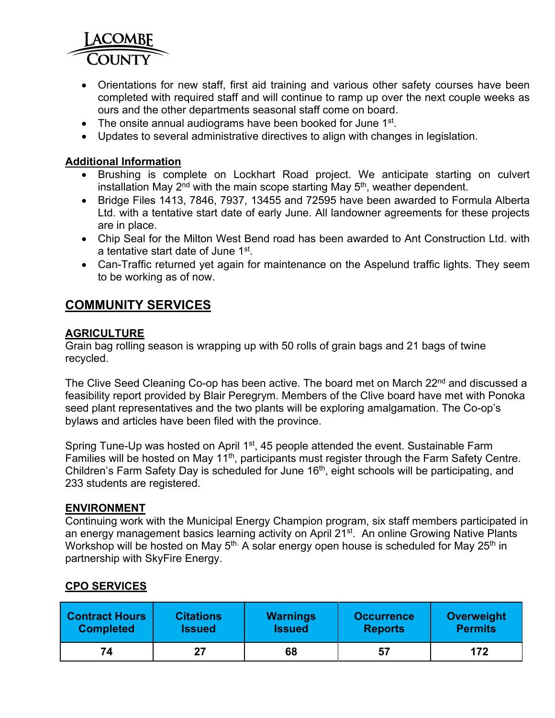

- Orientations for new staff, first aid training and various other safety courses have been completed with required staff and will continue to ramp up over the next couple weeks as ours and the other departments seasonal staff come on board.
- $\bullet$  The onsite annual audiograms have been booked for June 1st.
- Updates to several administrative directives to align with changes in legislation.

## **Additional Information**

- Brushing is complete on Lockhart Road project. We anticipate starting on culvert installation May  $2<sup>nd</sup>$  with the main scope starting May  $5<sup>th</sup>$ , weather dependent.
- Bridge Files 1413, 7846, 7937, 13455 and 72595 have been awarded to Formula Alberta Ltd. with a tentative start date of early June. All landowner agreements for these projects are in place.
- Chip Seal for the Milton West Bend road has been awarded to Ant Construction Ltd. with a tentative start date of June 1<sup>st</sup>.
- Can-Traffic returned yet again for maintenance on the Aspelund traffic lights. They seem to be working as of now.

## **COMMUNITY SERVICES**

## **AGRICULTURE**

Grain bag rolling season is wrapping up with 50 rolls of grain bags and 21 bags of twine recycled.

The Clive Seed Cleaning Co-op has been active. The board met on March 22<sup>nd</sup> and discussed a feasibility report provided by Blair Peregrym. Members of the Clive board have met with Ponoka seed plant representatives and the two plants will be exploring amalgamation. The Co-op's bylaws and articles have been filed with the province.

Spring Tune-Up was hosted on April 1<sup>st</sup>, 45 people attended the event. Sustainable Farm Families will be hosted on May 11<sup>th</sup>, participants must register through the Farm Safety Centre. Children's Farm Safety Day is scheduled for June 16<sup>th</sup>, eight schools will be participating, and 233 students are registered.

#### **ENVIRONMENT**

Continuing work with the Municipal Energy Champion program, six staff members participated in an energy management basics learning activity on April 21<sup>st</sup>. An online Growing Native Plants Workshop will be hosted on May 5<sup>th</sup>. A solar energy open house is scheduled for May 25<sup>th</sup> in partnership with SkyFire Energy.

## **CPO SERVICES**

| <b>Contract Hours</b> | <b>Citations</b> | <b>Warnings</b> | <b>Occurrence</b> | Overweight     |  |  |
|-----------------------|------------------|-----------------|-------------------|----------------|--|--|
| <b>Completed</b>      | <b>Issued</b>    | <b>Issued</b>   | <b>Reports</b>    | <b>Permits</b> |  |  |
| 74                    | 27               | 68              | 57                | 172            |  |  |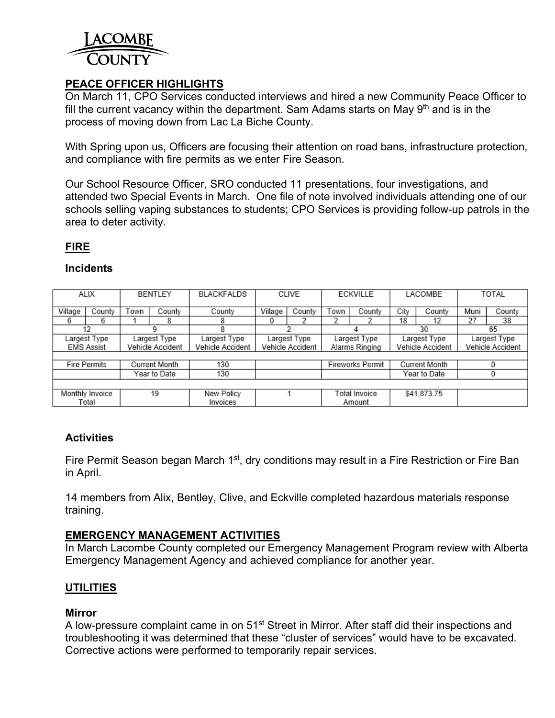

## **PEACE OFFICER HIGHLIGHTS**

On March 11, CPO Services conducted interviews and hired a new Community Peace Officer to fill the current vacancy within the department. Sam Adams starts on May  $9<sup>th</sup>$  and is in the process of moving down from Lac La Biche County.

With Spring upon us, Officers are focusing their attention on road bans, infrastructure protection, and compliance with fire permits as we enter Fire Season.

Our School Resource Officer, SRO conducted 11 presentations, four investigations, and attended two Special Events in March. One file of note involved individuals attending one of our schools selling vaping substances to students; CPO Services is providing follow-up patrols in the area to deter activity.

## **FIRE**

## **Incidents**

| ALIX                                 |                 | BENTLEY          |              | <b>BLACKFALDS</b> | CLIVE                   |              | <b>ECKVILLE</b> |               | LACOMBE          |             | TOTAL            |        |
|--------------------------------------|-----------------|------------------|--------------|-------------------|-------------------------|--------------|-----------------|---------------|------------------|-------------|------------------|--------|
| Village                              | County          | Town             | Countv       | County            | Village                 | County       | Town            | County        | City             | County      | Muni             | County |
| 6                                    | 6               |                  | 8            | 8                 | U                       |              |                 |               | 18               | 12          | 27               | 38     |
| 12                                   |                 |                  |              | 8                 |                         |              |                 |               | 30               |             | 65               |        |
| Largest Type<br>Largest Type         |                 | Largest Type     | Largest Type |                   | Largest Type            |              | Largest Type    |               | Largest Type     |             |                  |        |
| <b>EMS Assist</b>                    |                 | Vehicle Accident |              | Vehicle Accident  | Vehicle Accident        |              | Alarms Ringing  |               | Vehicle Accident |             | Vehicle Accident |        |
|                                      |                 |                  |              |                   |                         |              |                 |               |                  |             |                  |        |
| <b>Fire Permits</b><br>Current Month |                 | 130              |              |                   | <b>Fireworks Permit</b> |              | Current Month   |               |                  |             |                  |        |
| Year to Date                         |                 | 130              |              |                   |                         | Year to Date |                 |               |                  |             |                  |        |
|                                      |                 |                  |              |                   |                         |              |                 |               |                  |             |                  |        |
|                                      | Monthly Invoice |                  | 19           | New Policy        |                         |              |                 | Total Invoice |                  | \$41,873.75 |                  |        |
|                                      | Total           |                  |              | Invoices          |                         |              |                 | Amount        |                  |             |                  |        |

## **Activities**

Fire Permit Season began March 1<sup>st</sup>, dry conditions may result in a Fire Restriction or Fire Ban in April.

14 members from Alix, Bentley, Clive, and Eckville completed hazardous materials response training.

## **EMERGENCY MANAGEMENT ACTIVITIES**

In March Lacombe County completed our Emergency Management Program review with Alberta Emergency Management Agency and achieved compliance for another year.

## **UTILITIES**

## **Mirror**

A low-pressure complaint came in on 51<sup>st</sup> Street in Mirror. After staff did their inspections and troubleshooting it was determined that these "cluster of services" would have to be excavated. Corrective actions were performed to temporarily repair services.